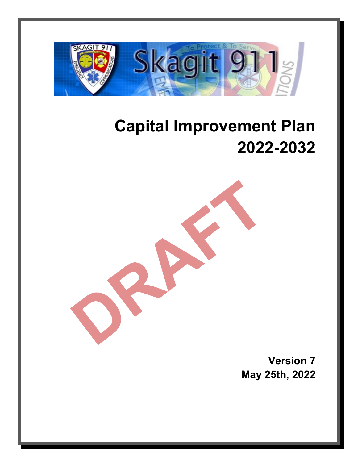

# **Capital Improvement Plan 2022-2032**



**Version 7 May 25th, 2022**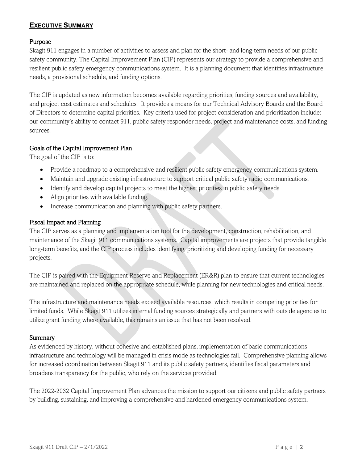# **EXECUTIVE SUMMARY**

## Purpose

Skagit 911 engages in a number of activities to assess and plan for the short- and long-term needs of our public safety community. The Capital Improvement Plan (CIP) represents our strategy to provide a comprehensive and resilient public safety emergency communications system. It is a planning document that identifies infrastructure needs, a provisional schedule, and funding options.

The CIP is updated as new information becomes available regarding priorities, funding sources and availability, and project cost estimates and schedules. It provides a means for our Technical Advisory Boards and the Board of Directors to determine capital priorities. Key criteria used for project consideration and prioritization include: our community's ability to contact 911, public safety responder needs, project and maintenance costs, and funding sources.

## Goals of the Capital Improvement Plan

The goal of the CIP is to:

- Provide a roadmap to a comprehensive and resilient public safety emergency communications system.
- Maintain and upgrade existing infrastructure to support critical public safety radio communications.
- Identify and develop capital projects to meet the highest priorities in public safety needs
- Align priorities with available funding.
- Increase communication and planning with public safety partners.

# Fiscal Impact and Planning

The CIP serves as a planning and implementation tool for the development, construction, rehabilitation, and maintenance of the Skagit 911 communications systems. Capital improvements are projects that provide tangible long-term benefits, and the CIP process includes identifying, prioritizing and developing funding for necessary projects.

The CIP is paired with the Equipment Reserve and Replacement (ER&R) plan to ensure that current technologies are maintained and replaced on the appropriate schedule, while planning for new technologies and critical needs.

The infrastructure and maintenance needs exceed available resources, which results in competing priorities for limited funds. While Skagit 911 utilizes internal funding sources strategically and partners with outside agencies to utilize grant funding where available, this remains an issue that has not been resolved.

### Summary

As evidenced by history, without cohesive and established plans, implementation of basic communications infrastructure and technology will be managed in crisis mode as technologies fail. Comprehensive planning allows for increased coordination between Skagit 911 and its public safety partners, identifies fiscal parameters and broadens transparency for the public, who rely on the services provided.

The 2022-2032 Capital Improvement Plan advances the mission to support our citizens and public safety partners by building, sustaining, and improving a comprehensive and hardened emergency communications system.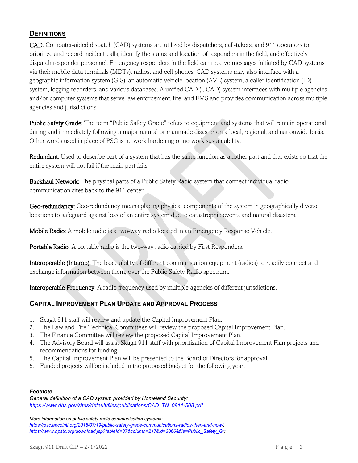# **DEFINITIONS**

CAD: Computer-aided dispatch (CAD) systems are utilized by dispatchers, call-takers, and 911 operators to prioritize and record incident calls, identify the status and location of responders in the field, and effectively dispatch responder personnel. Emergency responders in the field can receive messages initiated by CAD systems via their mobile data terminals (MDTs), radios, and cell phones. CAD systems may also interface with a geographic information system (GIS), an automatic vehicle location (AVL) system, a caller identification (ID) system, logging recorders, and various databases. A unified CAD (UCAD) system interfaces with multiple agencies and/or computer systems that serve law enforcement, fire, and EMS and provides communication across multiple agencies and jurisdictions.

Public Safety Grade: The term "Public Safety Grade" refers to equipment and systems that will remain operational during and immediately following a major natural or manmade disaster on a local, regional, and nationwide basis. Other words used in place of PSG is network hardening or network sustainability.

Redundant: Used to describe part of a system that has the same function as another part and that exists so that the entire system will not fail if the main part fails.

Backhaul Network: The physical parts of a Public Safety Radio system that connect individual radio communication sites back to the 911 center.

Geo-redundancy: Geo-redundancy means placing physical components of the system in geographically diverse locations to safeguard against loss of an entire system due to catastrophic events and natural disasters.

Mobile Radio: A mobile radio is a two-way radio located in an Emergency Response Vehicle.

Portable Radio: A portable radio is the two-way radio carried by First Responders.

Interoperable (Interop): The basic ability of different communication equipment (radios) to readily connect and exchange information between them, over the Public Safety Radio spectrum.

Interoperable Frequency: A radio frequency used by multiple agencies of different jurisdictions.

# **CAPITAL IMPROVEMENT PLAN UPDATE AND APPROVAL PROCESS**

- 1. Skagit 911 staff will review and update the Capital Improvement Plan.
- 2. The Law and Fire Technical Committees will review the proposed Capital Improvement Plan.
- 3. The Finance Committee will review the proposed Capital Improvement Plan.
- 4. The Advisory Board will assist Skagit 911 staff with prioritization of Capital Improvement Plan projects and recommendations for funding.
- 5. The Capital Improvement Plan will be presented to the Board of Directors for approval.
- 6. Funded projects will be included in the proposed budget for the following year.

#### *Footnote:*

*General definition of a CAD system provided by Homeland Security: [https://www.dhs.gov/sites/default/files/publications/CAD\\_TN\\_0911-508.pdf](https://www.dhs.gov/sites/default/files/publications/CAD_TN_0911-508.pdf)*

*More information on public safety radio communication systems: [https://psc.apcointl.org/2018/07/19/public-safety-grade-communications-radios-then-and-now/;](https://psc.apcointl.org/2018/07/19/public-safety-grade-communications-radios-then-and-now/) [https://www.npstc.org/download.jsp?tableId=37&column=217&id=3066&file=Public\\_Safety\\_Gr;](https://www.npstc.org/download.jsp?tableId=37&column=217&id=3066&file=Public_Safety_Gr)*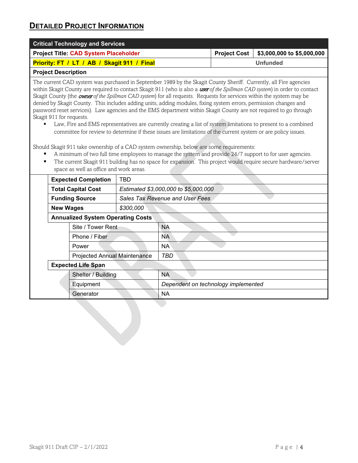# **DETAILED PROJECT INFORMATION**

| <b>Critical Technology and Services</b>     |                              |                                          |            |                                                                                                                                                                                                                                                                                                                                |                     |                                                                                                                                                                                                                                                                                                                                                                                                                                                                                                                                                                                                                                                                                                                                                                                                                                                       |
|---------------------------------------------|------------------------------|------------------------------------------|------------|--------------------------------------------------------------------------------------------------------------------------------------------------------------------------------------------------------------------------------------------------------------------------------------------------------------------------------|---------------------|-------------------------------------------------------------------------------------------------------------------------------------------------------------------------------------------------------------------------------------------------------------------------------------------------------------------------------------------------------------------------------------------------------------------------------------------------------------------------------------------------------------------------------------------------------------------------------------------------------------------------------------------------------------------------------------------------------------------------------------------------------------------------------------------------------------------------------------------------------|
| Project Title: CAD System Placeholder       |                              |                                          |            |                                                                                                                                                                                                                                                                                                                                | <b>Project Cost</b> | \$3,000,000 to \$5,000,000                                                                                                                                                                                                                                                                                                                                                                                                                                                                                                                                                                                                                                                                                                                                                                                                                            |
| Priority: FT / LT / AB / Skagit 911 / Final |                              |                                          |            |                                                                                                                                                                                                                                                                                                                                | <b>Unfunded</b>     |                                                                                                                                                                                                                                                                                                                                                                                                                                                                                                                                                                                                                                                                                                                                                                                                                                                       |
| <b>Project Description</b>                  |                              |                                          |            |                                                                                                                                                                                                                                                                                                                                |                     |                                                                                                                                                                                                                                                                                                                                                                                                                                                                                                                                                                                                                                                                                                                                                                                                                                                       |
|                                             | Skagit 911 for requests.     | space as well as office and work areas.  |            | denied by Skagit County. This includes adding units, adding modules, fixing system errors, permission changes and<br>committee for review to determine if these issues are limitations of the current system or are policy issues.<br>Should Skagit 911 take ownership of a CAD system ownership, below are some requirements: |                     | The current CAD system was purchased in September 1989 by the Skagit County Sheriff. Currently, all Fire agencies<br>within Skagit County are required to contact Skagit 911 (who is also a user of the Spillman CAD system) in order to contact<br>Skagit County (the <i>owner of the Spillman CAD system</i> ) for all requests. Requests for services within the system may be<br>password reset services). Law agencies and the EMS department within Skagit County are not required to go through<br>Law, Fire and EMS representatives are currently creating a list of system limitations to present to a combined<br>A minimum of two full time employees to manage the system and provide 24/7 support to for user agencies.<br>The current Skagit 911 building has no space for expansion. This project would require secure hardware/server |
|                                             |                              | <b>Expected Completion</b>               | <b>TBD</b> |                                                                                                                                                                                                                                                                                                                                |                     |                                                                                                                                                                                                                                                                                                                                                                                                                                                                                                                                                                                                                                                                                                                                                                                                                                                       |
|                                             |                              | <b>Total Capital Cost</b>                |            | Estimated \$3,000,000 to \$5,000,000<br>Sales Tax Revenue and User Fees                                                                                                                                                                                                                                                        |                     |                                                                                                                                                                                                                                                                                                                                                                                                                                                                                                                                                                                                                                                                                                                                                                                                                                                       |
|                                             |                              | <b>Funding Source</b>                    |            |                                                                                                                                                                                                                                                                                                                                |                     |                                                                                                                                                                                                                                                                                                                                                                                                                                                                                                                                                                                                                                                                                                                                                                                                                                                       |
|                                             | <b>New Wages</b>             |                                          | \$300,000  |                                                                                                                                                                                                                                                                                                                                |                     |                                                                                                                                                                                                                                                                                                                                                                                                                                                                                                                                                                                                                                                                                                                                                                                                                                                       |
|                                             |                              | <b>Annualized System Operating Costs</b> |            |                                                                                                                                                                                                                                                                                                                                |                     |                                                                                                                                                                                                                                                                                                                                                                                                                                                                                                                                                                                                                                                                                                                                                                                                                                                       |
|                                             |                              | Site / Tower Rent                        |            | <b>NA</b>                                                                                                                                                                                                                                                                                                                      |                     |                                                                                                                                                                                                                                                                                                                                                                                                                                                                                                                                                                                                                                                                                                                                                                                                                                                       |
|                                             |                              | Phone / Fiber                            |            | <b>NA</b>                                                                                                                                                                                                                                                                                                                      |                     |                                                                                                                                                                                                                                                                                                                                                                                                                                                                                                                                                                                                                                                                                                                                                                                                                                                       |
| Power                                       |                              |                                          | <b>NA</b>  |                                                                                                                                                                                                                                                                                                                                |                     |                                                                                                                                                                                                                                                                                                                                                                                                                                                                                                                                                                                                                                                                                                                                                                                                                                                       |
|                                             | Projected Annual Maintenance |                                          |            | <b>TBD</b>                                                                                                                                                                                                                                                                                                                     |                     |                                                                                                                                                                                                                                                                                                                                                                                                                                                                                                                                                                                                                                                                                                                                                                                                                                                       |
|                                             | <b>Expected Life Span</b>    |                                          |            |                                                                                                                                                                                                                                                                                                                                |                     |                                                                                                                                                                                                                                                                                                                                                                                                                                                                                                                                                                                                                                                                                                                                                                                                                                                       |
|                                             | Shelter / Building           |                                          | <b>NA</b>  |                                                                                                                                                                                                                                                                                                                                |                     |                                                                                                                                                                                                                                                                                                                                                                                                                                                                                                                                                                                                                                                                                                                                                                                                                                                       |
|                                             |                              | Equipment                                |            | Dependent on technology implemented                                                                                                                                                                                                                                                                                            |                     |                                                                                                                                                                                                                                                                                                                                                                                                                                                                                                                                                                                                                                                                                                                                                                                                                                                       |
|                                             |                              | Generator                                |            | <b>NA</b>                                                                                                                                                                                                                                                                                                                      |                     |                                                                                                                                                                                                                                                                                                                                                                                                                                                                                                                                                                                                                                                                                                                                                                                                                                                       |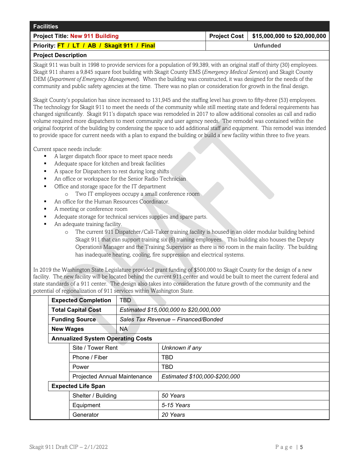| <b>Facilities</b>                           |                                             |
|---------------------------------------------|---------------------------------------------|
| <b>Project Title: New 911 Building</b>      | Project Cost   \$15,000,000 to \$20,000,000 |
| Priority: FT / LT / AB / Skagit 911 / Final | Unfunded                                    |

Skagit 911 was built in 1998 to provide services for a population of 99,389, with an original staff of thirty (30) employees. Skagit 911 shares a 9,845 square foot building with Skagit County EMS (*Emergency Medical Services*) and Skagit County DEM (*Department of Emergency Management*). When the building was constructed, it was designed for the needs of the community and public safety agencies at the time. There was no plan or consideration for growth in the final design.

Skagit County's population has since increased to 131,945 and the staffing level has grown to fifty-three (53) employees. The technology for Skagit 911 to meet the needs of the community while still meeting state and federal requirements has changed significantly. Skagit 911's dispatch space was remodeled in 2017 to allow additional consoles as call and radio volume required more dispatchers to meet community and user agency needs. The remodel was contained within the original footprint of the building by condensing the space to add additional staff and equipment. This remodel was intended to provide space for current needs with a plan to expand the building or build a new facility within three to five years.

Current space needs include:

- A larger dispatch floor space to meet space needs
- Adequate space for kitchen and break facilities
- A space for Dispatchers to rest during long shifts
- An office or workspace for the Senior Radio Technician
- Office and storage space for the IT department
	- o Two IT employees occupy a small conference room
- An office for the Human Resources Coordinator.
- A meeting or conference room
- Adequate storage for technical services supplies and spare parts.
- An adequate training facility.
	- o The current 911 Dispatcher/Call-Taker training facility is housed in an older modular building behind Skagit 911 that can support training six (6) training employees. This building also houses the Deputy Operations Manager and the Training Supervisor as there is no room in the main facility. The building has inadequate heating, cooling, fire suppression and electrical systems.

In 2019 the Washington State Legislature provided grant funding of \$500,000 to Skagit County for the design of a new facility. The new facility will be located behind the current 911 center and would be built to meet the current federal and state standards of a 911 center. The design also takes into consideration the future growth of the community and the potential of regionalization of 911 services within Washington State.

| <b>Expected Completion</b> |                           | <b>TBD</b>                               |                                        |                                     |
|----------------------------|---------------------------|------------------------------------------|----------------------------------------|-------------------------------------|
| <b>Total Capital Cost</b>  |                           |                                          | Estimated \$15,000,000 to \$20,000,000 |                                     |
|                            |                           | <b>Funding Source</b>                    |                                        | Sales Tax Revenue – Financed/Bonded |
|                            | <b>New Wages</b>          |                                          | NA.                                    |                                     |
|                            |                           | <b>Annualized System Operating Costs</b> |                                        |                                     |
|                            | Site / Tower Rent         |                                          |                                        | Unknown if any                      |
|                            | Phone / Fiber             |                                          |                                        | TBD                                 |
|                            | Power                     |                                          |                                        | TBD                                 |
|                            |                           | Projected Annual Maintenance             |                                        | Estimated \$100,000-\$200,000       |
|                            | <b>Expected Life Span</b> |                                          |                                        |                                     |
|                            | Shelter / Building        |                                          |                                        | 50 Years                            |
|                            | Equipment                 |                                          |                                        | 5-15 Years                          |
| Generator                  |                           |                                          | 20 Years                               |                                     |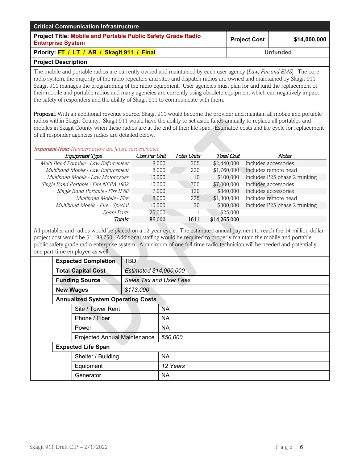| <b>Critical Communication Infrastructure</b>                                                    |                     |                 |
|-------------------------------------------------------------------------------------------------|---------------------|-----------------|
| <b>Project Title: Mobile and Portable Public Safety Grade Radio</b><br><b>Enterprise System</b> | <b>Project Cost</b> | \$14,000,000    |
| Priority: FT / LT / AB / Skagit 911 / Final                                                     |                     | <b>Unfunded</b> |

The mobile and portable radios are currently owned and maintained by each user agency (*Law, Fire and EMS*). The core radio system, the majority of the radio repeaters and sites and dispatch radios are owned and maintained by Skagit 911. Skagit 911 manages the programming of the radio equipment. User agencies must plan for and fund the replacement of their mobile and portable radios and many agencies are currently using obsolete equipment which can negatively impact the safety of responders and the ability of Skagit 911 to communicate with them.

Proposal: With an additional revenue source, Skagit 911 would become the provider and maintain all mobile and portable radios within Skagit County. Skagit 911 would have the ability to set aside funds annually to replace all portables and mobiles in Skagit County when these radios are at the end of their life span. Estimated costs and life cycle for replacement of all responder agencies radios are detailed below.

#### Important Note: *Numbers below are future cost estimates.*

| Cost Per Unit | <b>Total Units</b>                                                                                                                                                                                                                                                                              | <b>Total Cost</b> | Notes                         |
|---------------|-------------------------------------------------------------------------------------------------------------------------------------------------------------------------------------------------------------------------------------------------------------------------------------------------|-------------------|-------------------------------|
| 8,000         | 305                                                                                                                                                                                                                                                                                             | \$2,440,000       | Includes accessories          |
| 8,000         | 220                                                                                                                                                                                                                                                                                             | \$1,760,000       | Includes remote head          |
| 10,000        | 10                                                                                                                                                                                                                                                                                              | \$100,000         | Includes P25 phase 2 trunking |
| 10,000        | 700                                                                                                                                                                                                                                                                                             | \$7,000,000       | Includes accessories          |
| 7,000         | 120                                                                                                                                                                                                                                                                                             | \$840,000         | Includes accessories          |
| 8,000         | 225                                                                                                                                                                                                                                                                                             | \$1,800,000       | Includes remote head          |
| 10,000        | 30                                                                                                                                                                                                                                                                                              | \$300,000         | Includes P25 phase 2 trunking |
| 25,000        |                                                                                                                                                                                                                                                                                                 | \$25,000          |                               |
| 86,000        | 1611                                                                                                                                                                                                                                                                                            | \$14,265,000      |                               |
|               | Multi Band Portable - Law Enforcement<br>Multiband Mobile - Law Enforcement<br>Multiband Mobile - Law Motorcycles<br>Single Band Portable - Fire NFPA 1802<br>Single Band Portable - Fire IP68<br>Multiband Mobile - Fire<br>Multiband Mobile - Fire - Special<br><i>Spare Parts</i><br>Totals: |                   |                               |

All portables and radios would be placed on a 12-year cycle. The estimated annual payment to reach the 14-million-dollar project cost would be \$1,188,750. Additional staffing would be required to properly maintain the mobile and portable public safety grade radio enterprise system. A minimum of one full-time radio technician will be needed and potentially one part-time employee as well.

|  | <b>Expected Completion</b><br><b>Total Capital Cost</b> |                                          | <b>TBD</b>              |           |
|--|---------------------------------------------------------|------------------------------------------|-------------------------|-----------|
|  |                                                         |                                          | Estimated \$14,000,000  |           |
|  |                                                         | <b>Funding Source</b>                    | Sales Tax and User Fees |           |
|  |                                                         | <b>New Wages</b>                         | \$173,000               |           |
|  |                                                         | <b>Annualized System Operating Costs</b> |                         |           |
|  |                                                         | Site / Tower Rent                        |                         | <b>NA</b> |
|  |                                                         | Phone / Fiber                            |                         | NA        |
|  |                                                         | Power                                    |                         | NA        |
|  |                                                         | <b>Projected Annual Maintenance</b>      |                         | \$50,000  |
|  | <b>Expected Life Span</b>                               |                                          |                         |           |
|  | Shelter / Building                                      |                                          |                         | NA        |
|  | Equipment                                               |                                          |                         | 12 Years  |
|  |                                                         | Generator                                |                         | NA        |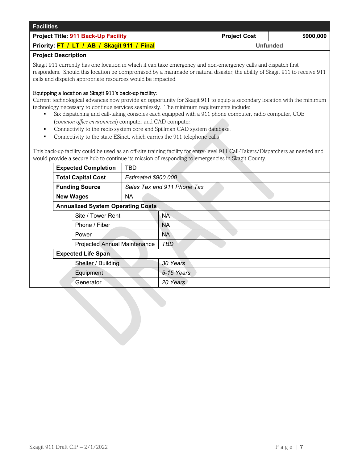| <b>Facilities</b>                           |                     |           |
|---------------------------------------------|---------------------|-----------|
| <b>Project Title: 911 Back-Up Facility</b>  | <b>Project Cost</b> | \$900,000 |
| Priority: FT / LT / AB / Skagit 911 / Final |                     | Unfunded  |

Skagit 911 currently has one location in which it can take emergency and non-emergency calls and dispatch first responders. Should this location be compromised by a manmade or natural disaster, the ability of Skagit 911 to receive 911 calls and dispatch appropriate resources would be impacted.

### Equipping a location as Skagit 911's back-up facility:

Current technological advances now provide an opportunity for Skagit 911 to equip a secondary location with the minimum technology necessary to continue services seamlessly. The minimum requirements include:

- Six dispatching and call-taking consoles each equipped with a 911 phone computer, radio computer, COE (*common office environment*) computer and CAD computer.
- Connectivity to the radio system core and Spillman CAD system database.
- **Connectivity to the state ESinet, which carries the 911 telephone calls**

This back-up facility could be used as an off-site training facility for entry-level 911 Call-Takers/Dispatchers as needed and would provide a secure hub to continue its mission of responding to emergencies in Skagit County.

| <b>Expected Completion</b> |                                                              |                                          | TBD       |                             |  |  |
|----------------------------|--------------------------------------------------------------|------------------------------------------|-----------|-----------------------------|--|--|
|                            | <b>Total Capital Cost</b>                                    |                                          |           | <b>Estimated \$900,000</b>  |  |  |
|                            |                                                              | <b>Funding Source</b>                    |           | Sales Tax and 911 Phone Tax |  |  |
|                            |                                                              | <b>New Wages</b>                         | <b>NA</b> |                             |  |  |
|                            |                                                              | <b>Annualized System Operating Costs</b> |           |                             |  |  |
|                            |                                                              | Site / Tower Rent                        |           | NA.                         |  |  |
|                            |                                                              | Phone / Fiber                            |           | <b>NA</b>                   |  |  |
|                            |                                                              | Power                                    |           | NA                          |  |  |
|                            |                                                              | <b>Projected Annual Maintenance</b>      |           | <b>TBD</b>                  |  |  |
|                            | <b>Expected Life Span</b><br>Shelter / Building<br>Equipment |                                          |           |                             |  |  |
|                            |                                                              |                                          |           | 30 Years                    |  |  |
|                            |                                                              |                                          |           | 5-15 Years                  |  |  |
|                            |                                                              | Generator                                |           | 20 Years                    |  |  |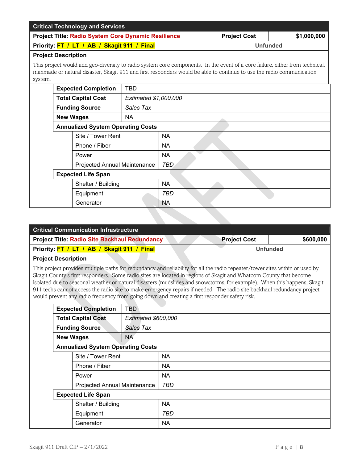| <b>Critical Technology and Services</b>                    |                     |             |
|------------------------------------------------------------|---------------------|-------------|
| <b>Project Title: Radio System Core Dynamic Resilience</b> | <b>Project Cost</b> | \$1,000,000 |
| Priority: FT / LT / AB / Skagit 911 / Final                | <b>Unfunded</b>     |             |

This project would add geo-diversity to radio system core components. In the event of a core failure, either from technical, manmade or natural disaster, Skagit 911 and first responders would be able to continue to use the radio communication system.

| <b>Expected Completion</b>               | <b>TBD</b>            |           |
|------------------------------------------|-----------------------|-----------|
| <b>Total Capital Cost</b>                | Estimated \$1,000,000 |           |
| <b>Funding Source</b>                    | Sales Tax             |           |
| <b>New Wages</b>                         | NA.                   |           |
| <b>Annualized System Operating Costs</b> |                       |           |
| Site / Tower Rent                        |                       | <b>NA</b> |
| Phone / Fiber                            |                       | <b>NA</b> |
| Power                                    |                       | <b>NA</b> |
| Projected Annual Maintenance             |                       | TBD.      |
| <b>Expected Life Span</b>                |                       |           |
| Shelter / Building                       |                       | <b>NA</b> |
| Equipment                                |                       | TBD       |
| Generator                                |                       | <b>NA</b> |
|                                          |                       |           |

| <b>Critical Communication Infrastructure</b>                                                                                                                                                                                                                                                                                                                                                                                                                                                                                                                                                              |                                                      |                     |            |                     |                 |
|-----------------------------------------------------------------------------------------------------------------------------------------------------------------------------------------------------------------------------------------------------------------------------------------------------------------------------------------------------------------------------------------------------------------------------------------------------------------------------------------------------------------------------------------------------------------------------------------------------------|------------------------------------------------------|---------------------|------------|---------------------|-----------------|
|                                                                                                                                                                                                                                                                                                                                                                                                                                                                                                                                                                                                           | <b>Project Title: Radio Site Backhaul Redundancy</b> |                     |            | <b>Project Cost</b> | \$600,000       |
|                                                                                                                                                                                                                                                                                                                                                                                                                                                                                                                                                                                                           | Priority: FT / LT / AB / Skagit 911 / Final          |                     |            |                     | <b>Unfunded</b> |
| <b>Project Description</b>                                                                                                                                                                                                                                                                                                                                                                                                                                                                                                                                                                                |                                                      |                     |            |                     |                 |
| This project provides multiple paths for redundancy and reliability for all the radio repeater/tower sites within or used by<br>Skagit County's first responders. Some radio sites are located in regions of Skagit and Whatcom County that become<br>isolated due to seasonal weather or natural disasters (mudslides and snowstorms, for example). When this happens, Skagit<br>911 techs cannot access the radio site to make emergency repairs if needed. The radio site backhaul redundancy project<br>would prevent any radio frequency from going down and creating a first responder safety risk. |                                                      |                     |            |                     |                 |
|                                                                                                                                                                                                                                                                                                                                                                                                                                                                                                                                                                                                           | <b>Expected Completion</b>                           | <b>TBD</b>          |            |                     |                 |
|                                                                                                                                                                                                                                                                                                                                                                                                                                                                                                                                                                                                           | <b>Total Capital Cost</b>                            | Estimated \$600,000 |            |                     |                 |
|                                                                                                                                                                                                                                                                                                                                                                                                                                                                                                                                                                                                           | <b>Funding Source</b>                                | Sales Tax           |            |                     |                 |
|                                                                                                                                                                                                                                                                                                                                                                                                                                                                                                                                                                                                           | <b>New Wages</b>                                     | <b>NA</b>           |            |                     |                 |
|                                                                                                                                                                                                                                                                                                                                                                                                                                                                                                                                                                                                           | <b>Annualized System Operating Costs</b>             |                     |            |                     |                 |
|                                                                                                                                                                                                                                                                                                                                                                                                                                                                                                                                                                                                           | Site / Tower Rent                                    |                     | <b>NA</b>  |                     |                 |
|                                                                                                                                                                                                                                                                                                                                                                                                                                                                                                                                                                                                           | Phone / Fiber                                        |                     | <b>NA</b>  |                     |                 |
|                                                                                                                                                                                                                                                                                                                                                                                                                                                                                                                                                                                                           | Power                                                |                     | <b>NA</b>  |                     |                 |
|                                                                                                                                                                                                                                                                                                                                                                                                                                                                                                                                                                                                           | <b>Projected Annual Maintenance</b>                  |                     | <b>TBD</b> |                     |                 |
|                                                                                                                                                                                                                                                                                                                                                                                                                                                                                                                                                                                                           | <b>Expected Life Span</b>                            |                     |            |                     |                 |
|                                                                                                                                                                                                                                                                                                                                                                                                                                                                                                                                                                                                           | Shelter / Building                                   |                     | <b>NA</b>  |                     |                 |
| Equipment                                                                                                                                                                                                                                                                                                                                                                                                                                                                                                                                                                                                 |                                                      |                     | <b>TBD</b> |                     |                 |
|                                                                                                                                                                                                                                                                                                                                                                                                                                                                                                                                                                                                           | Generator                                            |                     | <b>NA</b>  |                     |                 |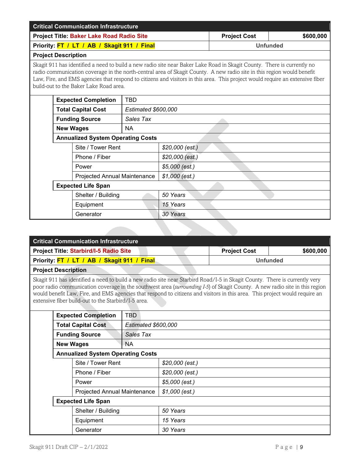| <b>Critical Communication Infrastructure</b>                                         |                                                                                                                                                                                                                                                                                                                                                                                                                              |  |  |  |  |  |  |  |  |
|--------------------------------------------------------------------------------------|------------------------------------------------------------------------------------------------------------------------------------------------------------------------------------------------------------------------------------------------------------------------------------------------------------------------------------------------------------------------------------------------------------------------------|--|--|--|--|--|--|--|--|
| <b>Project Title: Baker Lake Road Radio Site</b><br><b>Project Cost</b><br>\$600,000 |                                                                                                                                                                                                                                                                                                                                                                                                                              |  |  |  |  |  |  |  |  |
| Priority: FT / LT / AB / Skagit 911 / Final<br><b>Unfunded</b>                       |                                                                                                                                                                                                                                                                                                                                                                                                                              |  |  |  |  |  |  |  |  |
| <b>Project Description</b>                                                           |                                                                                                                                                                                                                                                                                                                                                                                                                              |  |  |  |  |  |  |  |  |
|                                                                                      | Skagit 911 has identified a need to build a new radio site near Baker Lake Road in Skagit County. There is currently no<br>radio communication coverage in the north-central area of Skagit County. A new radio site in this region would benefit<br>Law, Fire, and EMS agencies that respond to citizens and visitors in this area. This project would require an extensive fiber<br>build-out to the Baker Lake Road area. |  |  |  |  |  |  |  |  |
| <b>Expected Completion</b>                                                           | TBD                                                                                                                                                                                                                                                                                                                                                                                                                          |  |  |  |  |  |  |  |  |

| <b>Total Capital Cost</b>                | Estimated \$600,000 |                 |  |
|------------------------------------------|---------------------|-----------------|--|
| <b>Funding Source</b>                    | Sales Tax           |                 |  |
| <b>New Wages</b>                         | NA.                 |                 |  |
| <b>Annualized System Operating Costs</b> |                     |                 |  |
| Site / Tower Rent                        |                     | \$20,000 (est.) |  |
| Phone / Fiber                            |                     | \$20,000 (est.) |  |
| Power                                    |                     | \$5,000 (est.)  |  |
| Projected Annual Maintenance             |                     | $$1,000$ (est.) |  |
| <b>Expected Life Span</b>                |                     |                 |  |
| Shelter / Building                       |                     | 50 Years        |  |
| Equipment                                |                     | 15 Years        |  |
| Generator                                |                     | 30 Years        |  |

| <b>Critical Communication Infrastructure</b>  |                     |           |
|-----------------------------------------------|---------------------|-----------|
| <b>Project Title: Starbird/I-5 Radio Site</b> | <b>Project Cost</b> | \$600,000 |
| Priority: FT / LT / AB / Skagit 911 / Final   | Unfunded            |           |
| <b>Project Description</b>                    |                     |           |

Skagit 911 has identified a need to build a new radio site near Starbird Road/I-5 in Skagit County. There is currently very poor radio communication coverage in the southwest area (*surrounding I-5*) of Skagit County. A new radio site in this region would benefit Law, Fire, and EMS agencies that respond to citizens and visitors in this area. This project would require an extensive fiber build-out to the Starbird/I-5 area.

| <b>Expected Completion</b>               | TBD                 |                 |
|------------------------------------------|---------------------|-----------------|
| <b>Total Capital Cost</b>                | Estimated \$600,000 |                 |
| <b>Funding Source</b>                    | Sales Tax           |                 |
| <b>New Wages</b>                         | <b>NA</b>           |                 |
| <b>Annualized System Operating Costs</b> |                     |                 |
| Site / Tower Rent                        |                     | \$20,000 (est.) |
| Phone / Fiber                            |                     | \$20,000 (est.) |
| Power                                    |                     | \$5,000 (est.)  |
| <b>Projected Annual Maintenance</b>      |                     | $$1,000$ (est.) |
| <b>Expected Life Span</b>                |                     |                 |
| Shelter / Building                       |                     | 50 Years        |
| Equipment                                |                     | 15 Years        |
| Generator                                |                     | 30 Years        |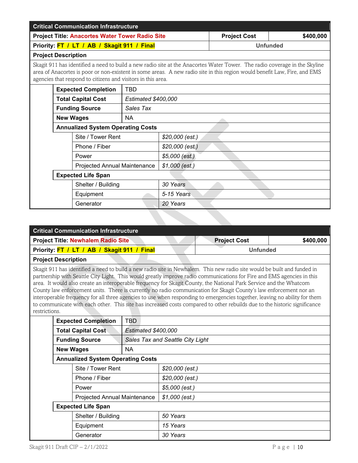| <b>Critical Communication Infrastructure</b>                                                                                                                                                                                                                                                                            |                                                        |                 |                 |                 |  |
|-------------------------------------------------------------------------------------------------------------------------------------------------------------------------------------------------------------------------------------------------------------------------------------------------------------------------|--------------------------------------------------------|-----------------|-----------------|-----------------|--|
|                                                                                                                                                                                                                                                                                                                         | <b>Project Title: Anacortes Water Tower Radio Site</b> |                 |                 | \$400,000       |  |
|                                                                                                                                                                                                                                                                                                                         | Priority: FT / LT / AB / Skagit 911 / Final            |                 |                 | <b>Unfunded</b> |  |
| <b>Project Description</b>                                                                                                                                                                                                                                                                                              |                                                        |                 |                 |                 |  |
| Skagit 911 has identified a need to build a new radio site at the Anacortes Water Tower. The radio coverage in the Skyline<br>area of Anacortes is poor or non-existent in some areas. A new radio site in this region would benefit Law, Fire, and EMS<br>agencies that respond to citizens and visitors in this area. |                                                        |                 |                 |                 |  |
| <b>Expected Completion</b>                                                                                                                                                                                                                                                                                              | TBD                                                    |                 |                 |                 |  |
| <b>Total Capital Cost</b>                                                                                                                                                                                                                                                                                               | <b>Estimated \$400,000</b>                             |                 |                 |                 |  |
| <b>Funding Source</b>                                                                                                                                                                                                                                                                                                   | Sales Tax                                              |                 |                 |                 |  |
| <b>New Wages</b>                                                                                                                                                                                                                                                                                                        | NA.                                                    |                 |                 |                 |  |
| <b>Annualized System Operating Costs</b>                                                                                                                                                                                                                                                                                |                                                        |                 |                 |                 |  |
| Site / Tower Rent                                                                                                                                                                                                                                                                                                       |                                                        | \$20,000 (est.) |                 |                 |  |
| Phone / Fiber                                                                                                                                                                                                                                                                                                           |                                                        | \$20,000 (est.) |                 |                 |  |
| Power                                                                                                                                                                                                                                                                                                                   |                                                        | \$5,000 (est.)  |                 |                 |  |
|                                                                                                                                                                                                                                                                                                                         | Projected Annual Maintenance                           |                 | $$1,000$ (est.) |                 |  |
| <b>Expected Life Span</b>                                                                                                                                                                                                                                                                                               |                                                        |                 |                 |                 |  |
|                                                                                                                                                                                                                                                                                                                         | Shelter / Building                                     |                 | 30 Years        |                 |  |
| Equipment                                                                                                                                                                                                                                                                                                               |                                                        | 5-15 Years      |                 |                 |  |
| Generator                                                                                                                                                                                                                                                                                                               |                                                        | 20 Years        |                 |                 |  |

| <b>Critical Communication Infrastructure</b>                                                                                                                                                                                                                                                                                                                                                                                                                                                                                                                                                                                                                                                                                                                               |                            |                                  |                     |           |  |
|----------------------------------------------------------------------------------------------------------------------------------------------------------------------------------------------------------------------------------------------------------------------------------------------------------------------------------------------------------------------------------------------------------------------------------------------------------------------------------------------------------------------------------------------------------------------------------------------------------------------------------------------------------------------------------------------------------------------------------------------------------------------------|----------------------------|----------------------------------|---------------------|-----------|--|
| <b>Project Title: Newhalem Radio Site</b>                                                                                                                                                                                                                                                                                                                                                                                                                                                                                                                                                                                                                                                                                                                                  |                            |                                  | <b>Project Cost</b> | \$400,000 |  |
| Priority: FT / LT / AB / Skagit 911 / Final                                                                                                                                                                                                                                                                                                                                                                                                                                                                                                                                                                                                                                                                                                                                |                            |                                  | <b>Unfunded</b>     |           |  |
| <b>Project Description</b>                                                                                                                                                                                                                                                                                                                                                                                                                                                                                                                                                                                                                                                                                                                                                 |                            |                                  |                     |           |  |
| Skagit 911 has identified a need to build a new radio site in Newhalem. This new radio site would be built and funded in<br>partnership with Seattle City Light. This would greatly improve radio communications for Fire and EMS agencies in this<br>area. It would also create an interoperable frequency for Skagit County, the National Park Service and the Whatcom<br>County law enforcement units. There is currently no radio communication for Skagit County's law enforcement nor an<br>interoperable frequency for all three agencies to use when responding to emergencies together, leaving no ability for them<br>to communicate with each other. This site has increased costs compared to other rebuilds due to the historic significance<br>restrictions. |                            |                                  |                     |           |  |
| <b>Expected Completion</b>                                                                                                                                                                                                                                                                                                                                                                                                                                                                                                                                                                                                                                                                                                                                                 | <b>TBD</b>                 |                                  |                     |           |  |
| <b>Total Capital Cost</b>                                                                                                                                                                                                                                                                                                                                                                                                                                                                                                                                                                                                                                                                                                                                                  | <b>Estimated \$400,000</b> |                                  |                     |           |  |
| <b>Funding Source</b>                                                                                                                                                                                                                                                                                                                                                                                                                                                                                                                                                                                                                                                                                                                                                      |                            | Sales Tax and Seattle City Light |                     |           |  |
| <b>New Wages</b>                                                                                                                                                                                                                                                                                                                                                                                                                                                                                                                                                                                                                                                                                                                                                           | <b>NA</b>                  |                                  |                     |           |  |
| <b>Annualized System Operating Costs</b>                                                                                                                                                                                                                                                                                                                                                                                                                                                                                                                                                                                                                                                                                                                                   |                            |                                  |                     |           |  |
| Site / Tower Rent                                                                                                                                                                                                                                                                                                                                                                                                                                                                                                                                                                                                                                                                                                                                                          |                            | \$20,000 (est.)                  |                     |           |  |
| Phone / Fiber                                                                                                                                                                                                                                                                                                                                                                                                                                                                                                                                                                                                                                                                                                                                                              |                            | \$20,000 (est.)                  |                     |           |  |
| Power                                                                                                                                                                                                                                                                                                                                                                                                                                                                                                                                                                                                                                                                                                                                                                      |                            | \$5,000 (est.)                   |                     |           |  |
| Projected Annual Maintenance                                                                                                                                                                                                                                                                                                                                                                                                                                                                                                                                                                                                                                                                                                                                               |                            | $$1,000$ (est.)                  |                     |           |  |
| <b>Expected Life Span</b>                                                                                                                                                                                                                                                                                                                                                                                                                                                                                                                                                                                                                                                                                                                                                  |                            |                                  |                     |           |  |
|                                                                                                                                                                                                                                                                                                                                                                                                                                                                                                                                                                                                                                                                                                                                                                            | Shelter / Building         |                                  | 50 Years            |           |  |
| Equipment                                                                                                                                                                                                                                                                                                                                                                                                                                                                                                                                                                                                                                                                                                                                                                  |                            | 15 Years                         |                     |           |  |
| Generator                                                                                                                                                                                                                                                                                                                                                                                                                                                                                                                                                                                                                                                                                                                                                                  |                            | 30 Years                         |                     |           |  |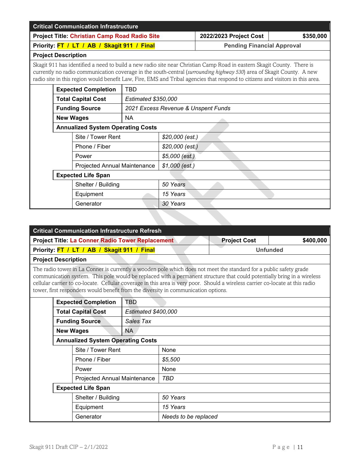| <b>Critical Communication Infrastructure</b>                                                                                                                                                                                                                                                                                                                                      |                                               |  |                            |                                     |                                   |           |
|-----------------------------------------------------------------------------------------------------------------------------------------------------------------------------------------------------------------------------------------------------------------------------------------------------------------------------------------------------------------------------------|-----------------------------------------------|--|----------------------------|-------------------------------------|-----------------------------------|-----------|
|                                                                                                                                                                                                                                                                                                                                                                                   | Project Title: Christian Camp Road Radio Site |  |                            |                                     | 2022/2023 Project Cost            | \$350,000 |
|                                                                                                                                                                                                                                                                                                                                                                                   | Priority: FT / LT / AB / Skagit 911 / Final   |  |                            |                                     | <b>Pending Financial Approval</b> |           |
|                                                                                                                                                                                                                                                                                                                                                                                   | <b>Project Description</b>                    |  |                            |                                     |                                   |           |
| Skagit 911 has identified a need to build a new radio site near Christian Camp Road in eastern Skagit County. There is<br>currently no radio communication coverage in the south-central (surrounding highway 530) area of Skagit County. A new<br>radio site in this region would benefit Law, Fire, EMS and Tribal agencies that respond to citizens and visitors in this area. |                                               |  |                            |                                     |                                   |           |
|                                                                                                                                                                                                                                                                                                                                                                                   | <b>Expected Completion</b>                    |  | <b>TBD</b>                 |                                     |                                   |           |
|                                                                                                                                                                                                                                                                                                                                                                                   | <b>Total Capital Cost</b>                     |  | <b>Estimated \$350,000</b> |                                     |                                   |           |
|                                                                                                                                                                                                                                                                                                                                                                                   | <b>Funding Source</b>                         |  |                            | 2021 Excess Revenue & Unspent Funds |                                   |           |
|                                                                                                                                                                                                                                                                                                                                                                                   | <b>New Wages</b>                              |  | <b>NA</b>                  |                                     |                                   |           |
|                                                                                                                                                                                                                                                                                                                                                                                   | <b>Annualized System Operating Costs</b>      |  |                            |                                     |                                   |           |
|                                                                                                                                                                                                                                                                                                                                                                                   | Site / Tower Rent                             |  |                            | \$20,000 (est.)                     |                                   |           |
|                                                                                                                                                                                                                                                                                                                                                                                   | Phone / Fiber                                 |  |                            | \$20,000 (est.)                     |                                   |           |
|                                                                                                                                                                                                                                                                                                                                                                                   | Power                                         |  |                            | \$5,000 (est.)                      |                                   |           |
|                                                                                                                                                                                                                                                                                                                                                                                   | Projected Annual Maintenance                  |  |                            | $$1,000$ (est.)                     |                                   |           |
|                                                                                                                                                                                                                                                                                                                                                                                   | <b>Expected Life Span</b>                     |  |                            |                                     |                                   |           |
|                                                                                                                                                                                                                                                                                                                                                                                   | Shelter / Building                            |  |                            | 50 Years                            |                                   |           |
|                                                                                                                                                                                                                                                                                                                                                                                   | Equipment                                     |  |                            | 15 Years                            |                                   |           |
|                                                                                                                                                                                                                                                                                                                                                                                   | Generator                                     |  |                            | 30 Years                            |                                   |           |

|                                                                                                                                                                                                                                                                                                                                                                                                                                                                      | <b>Critical Communication Infrastructure Refresh</b> |                                                         |                            |                      |                     |                 |
|----------------------------------------------------------------------------------------------------------------------------------------------------------------------------------------------------------------------------------------------------------------------------------------------------------------------------------------------------------------------------------------------------------------------------------------------------------------------|------------------------------------------------------|---------------------------------------------------------|----------------------------|----------------------|---------------------|-----------------|
|                                                                                                                                                                                                                                                                                                                                                                                                                                                                      |                                                      | <b>Project Title: La Conner Radio Tower Replacement</b> |                            |                      | <b>Project Cost</b> | \$400,000       |
|                                                                                                                                                                                                                                                                                                                                                                                                                                                                      |                                                      | Priority: FT / LT / AB / Skagit 911 / Final             |                            |                      |                     | <b>Unfunded</b> |
| <b>Project Description</b>                                                                                                                                                                                                                                                                                                                                                                                                                                           |                                                      |                                                         |                            |                      |                     |                 |
| The radio tower in La Conner is currently a wooden pole which does not meet the standard for a public safety grade<br>communication system. This pole would be replaced with a permanent structure that could potentially bring in a wireless<br>cellular carrier to co-locate. Cellular coverage in this area is very poor. Should a wireless carrier co-locate at this radio<br>tower, first responders would benefit from the diversity in communication options. |                                                      |                                                         |                            |                      |                     |                 |
|                                                                                                                                                                                                                                                                                                                                                                                                                                                                      |                                                      | <b>Expected Completion</b>                              | <b>TBD</b>                 |                      |                     |                 |
|                                                                                                                                                                                                                                                                                                                                                                                                                                                                      |                                                      | <b>Total Capital Cost</b>                               | <b>Estimated \$400,000</b> |                      |                     |                 |
|                                                                                                                                                                                                                                                                                                                                                                                                                                                                      |                                                      | <b>Funding Source</b>                                   | Sales Tax                  |                      |                     |                 |
|                                                                                                                                                                                                                                                                                                                                                                                                                                                                      | <b>New Wages</b>                                     |                                                         | <b>NA</b>                  |                      |                     |                 |
|                                                                                                                                                                                                                                                                                                                                                                                                                                                                      |                                                      | <b>Annualized System Operating Costs</b>                |                            |                      |                     |                 |
|                                                                                                                                                                                                                                                                                                                                                                                                                                                                      |                                                      | Site / Tower Rent                                       |                            | None                 |                     |                 |
|                                                                                                                                                                                                                                                                                                                                                                                                                                                                      |                                                      | Phone / Fiber                                           |                            | \$5,500              |                     |                 |
|                                                                                                                                                                                                                                                                                                                                                                                                                                                                      |                                                      | Power                                                   |                            | None                 |                     |                 |
|                                                                                                                                                                                                                                                                                                                                                                                                                                                                      |                                                      | Projected Annual Maintenance                            |                            | <b>TBD</b>           |                     |                 |
| <b>Expected Life Span</b>                                                                                                                                                                                                                                                                                                                                                                                                                                            |                                                      |                                                         |                            |                      |                     |                 |
|                                                                                                                                                                                                                                                                                                                                                                                                                                                                      | Shelter / Building                                   |                                                         |                            | 50 Years             |                     |                 |
|                                                                                                                                                                                                                                                                                                                                                                                                                                                                      |                                                      | Equipment                                               |                            | 15 Years             |                     |                 |
|                                                                                                                                                                                                                                                                                                                                                                                                                                                                      |                                                      | Generator                                               |                            | Needs to be replaced |                     |                 |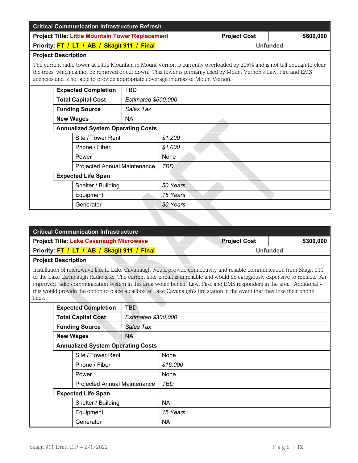| <b>Critical Communication Infrastructure Refresh</b> |                                                                                                                                                                                                                                                                                                                                      |                     |            |                     |                 |
|------------------------------------------------------|--------------------------------------------------------------------------------------------------------------------------------------------------------------------------------------------------------------------------------------------------------------------------------------------------------------------------------------|---------------------|------------|---------------------|-----------------|
|                                                      | <b>Project Title: Little Mountain Tower Replacement</b>                                                                                                                                                                                                                                                                              |                     |            | <b>Project Cost</b> | \$600,000       |
|                                                      | Priority: FT / LT / AB / Skagit 911 / Final                                                                                                                                                                                                                                                                                          |                     |            |                     | <b>Unfunded</b> |
|                                                      | <b>Project Description</b>                                                                                                                                                                                                                                                                                                           |                     |            |                     |                 |
|                                                      | The current radio tower at Little Mountain in Mount Vernon is currently overloaded by 205% and is not tall enough to clear<br>the trees, which cannot be removed or cut down. This tower is primarily used by Mount Vernon's Law, Fire and EMS<br>agencies and is not able to provide appropriate coverage in areas of Mount Vernon. |                     |            |                     |                 |
|                                                      | <b>Expected Completion</b>                                                                                                                                                                                                                                                                                                           | <b>TBD</b>          |            |                     |                 |
|                                                      | <b>Total Capital Cost</b>                                                                                                                                                                                                                                                                                                            | Estimated \$600,000 |            |                     |                 |
|                                                      | <b>Funding Source</b>                                                                                                                                                                                                                                                                                                                | Sales Tax           |            |                     |                 |
|                                                      | <b>New Wages</b>                                                                                                                                                                                                                                                                                                                     | <b>NA</b>           |            |                     |                 |
|                                                      | <b>Annualized System Operating Costs</b>                                                                                                                                                                                                                                                                                             |                     |            |                     |                 |
|                                                      | Site / Tower Rent                                                                                                                                                                                                                                                                                                                    |                     | \$1,200    |                     |                 |
|                                                      | Phone / Fiber                                                                                                                                                                                                                                                                                                                        |                     | \$1,000    |                     |                 |
|                                                      | Power                                                                                                                                                                                                                                                                                                                                |                     | None       |                     |                 |
|                                                      | Projected Annual Maintenance                                                                                                                                                                                                                                                                                                         |                     | <b>TBD</b> |                     |                 |
|                                                      | <b>Expected Life Span</b>                                                                                                                                                                                                                                                                                                            |                     |            |                     |                 |
|                                                      | Shelter / Building                                                                                                                                                                                                                                                                                                                   |                     | 50 Years   |                     |                 |
|                                                      | Equipment                                                                                                                                                                                                                                                                                                                            |                     | 15 Years   |                     |                 |
|                                                      | Generator                                                                                                                                                                                                                                                                                                                            |                     | 30 Years   |                     |                 |

| <b>Critical Communication Infrastructure</b>                                                                                                                                                                                                                                                                                                                                                                                                                                                                            |                                                |                                             |                     |           |                     |                 |
|-------------------------------------------------------------------------------------------------------------------------------------------------------------------------------------------------------------------------------------------------------------------------------------------------------------------------------------------------------------------------------------------------------------------------------------------------------------------------------------------------------------------------|------------------------------------------------|---------------------------------------------|---------------------|-----------|---------------------|-----------------|
|                                                                                                                                                                                                                                                                                                                                                                                                                                                                                                                         | <b>Project Title: Lake Cavanaugh Microwave</b> |                                             |                     |           | <b>Project Cost</b> | \$300,000       |
|                                                                                                                                                                                                                                                                                                                                                                                                                                                                                                                         |                                                | Priority: FT / LT / AB / Skagit 911 / Final |                     |           |                     | <b>Unfunded</b> |
| <b>Project Description</b>                                                                                                                                                                                                                                                                                                                                                                                                                                                                                              |                                                |                                             |                     |           |                     |                 |
| Installation of microwave link to Lake Cavanaugh would provide connectivity and reliable communication from Skagit 911<br>to the Lake Cavanaugh Radio site. The current fiber circuit is unreliable and would be egregiously expensive to replace. An<br>improved radio communication system in this area would benefit Law, Fire, and EMS responders in the area. Additionally,<br>this would provide the option to place a callbox at Lake Cavanaugh's fire station in the event that they lose their phone<br>lines. |                                                |                                             |                     |           |                     |                 |
|                                                                                                                                                                                                                                                                                                                                                                                                                                                                                                                         |                                                | <b>Expected Completion</b>                  | <b>TBD</b>          |           |                     |                 |
|                                                                                                                                                                                                                                                                                                                                                                                                                                                                                                                         |                                                | <b>Total Capital Cost</b>                   | Estimated \$300,000 |           |                     |                 |
|                                                                                                                                                                                                                                                                                                                                                                                                                                                                                                                         |                                                | <b>Funding Source</b>                       | Sales Tax           |           |                     |                 |
|                                                                                                                                                                                                                                                                                                                                                                                                                                                                                                                         |                                                | <b>New Wages</b>                            | <b>NA</b>           |           |                     |                 |
|                                                                                                                                                                                                                                                                                                                                                                                                                                                                                                                         |                                                | <b>Annualized System Operating Costs</b>    |                     |           |                     |                 |
|                                                                                                                                                                                                                                                                                                                                                                                                                                                                                                                         |                                                | Site / Tower Rent                           |                     | None      |                     |                 |
|                                                                                                                                                                                                                                                                                                                                                                                                                                                                                                                         |                                                | Phone / Fiber                               |                     | \$16,000  |                     |                 |
|                                                                                                                                                                                                                                                                                                                                                                                                                                                                                                                         |                                                | Power                                       |                     | None      |                     |                 |
|                                                                                                                                                                                                                                                                                                                                                                                                                                                                                                                         | Projected Annual Maintenance                   |                                             | <b>TBD</b>          |           |                     |                 |
|                                                                                                                                                                                                                                                                                                                                                                                                                                                                                                                         |                                                | <b>Expected Life Span</b>                   |                     |           |                     |                 |
|                                                                                                                                                                                                                                                                                                                                                                                                                                                                                                                         | Shelter / Building                             |                                             | <b>NA</b>           |           |                     |                 |
|                                                                                                                                                                                                                                                                                                                                                                                                                                                                                                                         |                                                | Equipment                                   |                     | 15 Years  |                     |                 |
|                                                                                                                                                                                                                                                                                                                                                                                                                                                                                                                         |                                                | Generator                                   |                     | <b>NA</b> |                     |                 |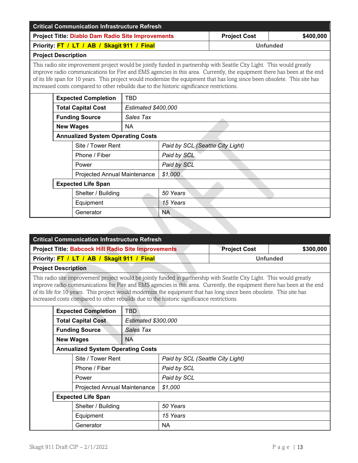| <b>Critical Communication Infrastructure Refresh</b>                                                                                                                                                                                                                                                                                                                                                                                                                         |                                                          |                     |                                  |                     |                 |
|------------------------------------------------------------------------------------------------------------------------------------------------------------------------------------------------------------------------------------------------------------------------------------------------------------------------------------------------------------------------------------------------------------------------------------------------------------------------------|----------------------------------------------------------|---------------------|----------------------------------|---------------------|-----------------|
|                                                                                                                                                                                                                                                                                                                                                                                                                                                                              | <b>Project Title: Diablo Dam Radio Site Improvements</b> |                     |                                  | <b>Project Cost</b> | \$400,000       |
|                                                                                                                                                                                                                                                                                                                                                                                                                                                                              | Priority: FT / LT / AB / Skagit 911 / Final              |                     |                                  |                     | <b>Unfunded</b> |
|                                                                                                                                                                                                                                                                                                                                                                                                                                                                              | <b>Project Description</b>                               |                     |                                  |                     |                 |
| This radio site improvement project would be jointly funded in partnership with Seattle City Light. This would greatly<br>improve radio communications for Fire and EMS agencies in this area. Currently, the equipment there has been at the end<br>of its life span for 10 years. This project would modernize the equipment that has long since been obsolete. This site has<br>increased costs compared to other rebuilds due to the historic significance restrictions. |                                                          |                     |                                  |                     |                 |
|                                                                                                                                                                                                                                                                                                                                                                                                                                                                              | <b>Expected Completion</b>                               | <b>TBD</b>          |                                  |                     |                 |
|                                                                                                                                                                                                                                                                                                                                                                                                                                                                              | <b>Total Capital Cost</b>                                | Estimated \$400,000 |                                  |                     |                 |
|                                                                                                                                                                                                                                                                                                                                                                                                                                                                              | <b>Funding Source</b>                                    | Sales Tax           |                                  |                     |                 |
|                                                                                                                                                                                                                                                                                                                                                                                                                                                                              | <b>New Wages</b>                                         | <b>NA</b>           |                                  |                     |                 |
|                                                                                                                                                                                                                                                                                                                                                                                                                                                                              | <b>Annualized System Operating Costs</b>                 |                     |                                  |                     |                 |
|                                                                                                                                                                                                                                                                                                                                                                                                                                                                              | Site / Tower Rent                                        |                     | Paid by SCL (Seattle City Light) |                     |                 |
|                                                                                                                                                                                                                                                                                                                                                                                                                                                                              | Phone / Fiber                                            |                     | Paid by SCL                      |                     |                 |
|                                                                                                                                                                                                                                                                                                                                                                                                                                                                              | Power                                                    |                     | Paid by SCL                      |                     |                 |
|                                                                                                                                                                                                                                                                                                                                                                                                                                                                              | Projected Annual Maintenance                             |                     | \$1,000                          |                     |                 |
|                                                                                                                                                                                                                                                                                                                                                                                                                                                                              | <b>Expected Life Span</b>                                |                     |                                  |                     |                 |
|                                                                                                                                                                                                                                                                                                                                                                                                                                                                              | Shelter / Building                                       |                     | 50 Years                         |                     |                 |
|                                                                                                                                                                                                                                                                                                                                                                                                                                                                              | Equipment                                                |                     | 15 Years                         |                     |                 |
|                                                                                                                                                                                                                                                                                                                                                                                                                                                                              | Generator                                                |                     | NA                               |                     |                 |

| <b>Critical Communication Infrastructure Refresh</b>                                                                                                                                                                                                                                                                                                                                                                                                                    |                     |                                  |                     |                 |  |  |
|-------------------------------------------------------------------------------------------------------------------------------------------------------------------------------------------------------------------------------------------------------------------------------------------------------------------------------------------------------------------------------------------------------------------------------------------------------------------------|---------------------|----------------------------------|---------------------|-----------------|--|--|
| <b>Project Title: Babcock Hill Radio Site Improvements</b>                                                                                                                                                                                                                                                                                                                                                                                                              |                     |                                  | <b>Project Cost</b> | \$300,000       |  |  |
| Priority: FT / LT / AB / Skagit 911 / Final                                                                                                                                                                                                                                                                                                                                                                                                                             |                     |                                  |                     | <b>Unfunded</b> |  |  |
| <b>Project Description</b>                                                                                                                                                                                                                                                                                                                                                                                                                                              |                     |                                  |                     |                 |  |  |
| This radio site improvement project would be jointly funded in partnership with Seattle City Light. This would greatly<br>improve radio communications for Fire and EMS agencies in this area. Currently, the equipment there has been at the end<br>of its life for 10 years. This project would modernize the equipment that has long since been obsolete. This site has<br>increased costs compared to other rebuilds due to the historic significance restrictions. |                     |                                  |                     |                 |  |  |
| <b>Expected Completion</b>                                                                                                                                                                                                                                                                                                                                                                                                                                              | <b>TBD</b>          |                                  |                     |                 |  |  |
| <b>Total Capital Cost</b>                                                                                                                                                                                                                                                                                                                                                                                                                                               | Estimated \$300,000 |                                  |                     |                 |  |  |
| <b>Funding Source</b>                                                                                                                                                                                                                                                                                                                                                                                                                                                   | Sales Tax           |                                  |                     |                 |  |  |
| <b>New Wages</b>                                                                                                                                                                                                                                                                                                                                                                                                                                                        | <b>NA</b>           |                                  |                     |                 |  |  |
| <b>Annualized System Operating Costs</b>                                                                                                                                                                                                                                                                                                                                                                                                                                |                     |                                  |                     |                 |  |  |
| Site / Tower Rent                                                                                                                                                                                                                                                                                                                                                                                                                                                       |                     | Paid by SCL (Seattle City Light) |                     |                 |  |  |
| Phone / Fiber                                                                                                                                                                                                                                                                                                                                                                                                                                                           |                     | Paid by SCL                      |                     |                 |  |  |
| Power                                                                                                                                                                                                                                                                                                                                                                                                                                                                   |                     | Paid by SCL                      |                     |                 |  |  |
| Projected Annual Maintenance                                                                                                                                                                                                                                                                                                                                                                                                                                            |                     | \$1,000                          |                     |                 |  |  |
| <b>Expected Life Span</b>                                                                                                                                                                                                                                                                                                                                                                                                                                               |                     |                                  |                     |                 |  |  |
| Shelter / Building                                                                                                                                                                                                                                                                                                                                                                                                                                                      |                     | 50 Years                         |                     |                 |  |  |
| Equipment                                                                                                                                                                                                                                                                                                                                                                                                                                                               |                     | 15 Years                         |                     |                 |  |  |
| Generator                                                                                                                                                                                                                                                                                                                                                                                                                                                               |                     | <b>NA</b>                        |                     |                 |  |  |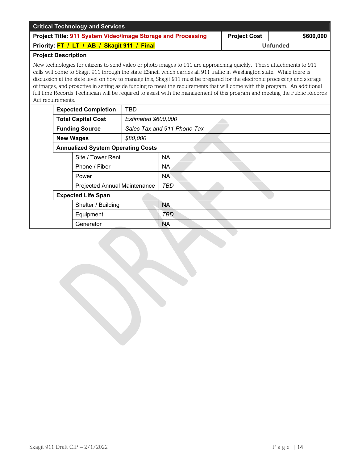| <b>Critical Technology and Services</b>                                                                                                                                                                                                                                                                                                                                                                                                                                                                                                                                                                                                                          |                                                              |                     |                             |  |                 |
|------------------------------------------------------------------------------------------------------------------------------------------------------------------------------------------------------------------------------------------------------------------------------------------------------------------------------------------------------------------------------------------------------------------------------------------------------------------------------------------------------------------------------------------------------------------------------------------------------------------------------------------------------------------|--------------------------------------------------------------|---------------------|-----------------------------|--|-----------------|
|                                                                                                                                                                                                                                                                                                                                                                                                                                                                                                                                                                                                                                                                  | Project Title: 911 System Video/Image Storage and Processing |                     |                             |  | \$600,000       |
|                                                                                                                                                                                                                                                                                                                                                                                                                                                                                                                                                                                                                                                                  | Priority: FT / LT / AB / Skagit 911 / Final                  |                     |                             |  | <b>Unfunded</b> |
|                                                                                                                                                                                                                                                                                                                                                                                                                                                                                                                                                                                                                                                                  | <b>Project Description</b>                                   |                     |                             |  |                 |
| New technologies for citizens to send video or photo images to 911 are approaching quickly. These attachments to 911<br>calls will come to Skagit 911 through the state ESinet, which carries all 911 traffic in Washington state. While there is<br>discussion at the state level on how to manage this, Skagit 911 must be prepared for the electronic processing and storage<br>of images, and proactive in setting aside funding to meet the requirements that will come with this program. An additional<br>full time Records Technician will be required to assist with the management of this program and meeting the Public Records<br>Act requirements. |                                                              |                     |                             |  |                 |
|                                                                                                                                                                                                                                                                                                                                                                                                                                                                                                                                                                                                                                                                  | <b>Expected Completion</b>                                   | <b>TBD</b>          |                             |  |                 |
|                                                                                                                                                                                                                                                                                                                                                                                                                                                                                                                                                                                                                                                                  | <b>Total Capital Cost</b>                                    | Estimated \$600,000 |                             |  |                 |
|                                                                                                                                                                                                                                                                                                                                                                                                                                                                                                                                                                                                                                                                  | <b>Funding Source</b>                                        |                     | Sales Tax and 911 Phone Tax |  |                 |
|                                                                                                                                                                                                                                                                                                                                                                                                                                                                                                                                                                                                                                                                  | <b>New Wages</b>                                             | \$80,000            |                             |  |                 |
|                                                                                                                                                                                                                                                                                                                                                                                                                                                                                                                                                                                                                                                                  | <b>Annualized System Operating Costs</b>                     |                     |                             |  |                 |
|                                                                                                                                                                                                                                                                                                                                                                                                                                                                                                                                                                                                                                                                  | Site / Tower Rent                                            |                     | <b>NA</b>                   |  |                 |
|                                                                                                                                                                                                                                                                                                                                                                                                                                                                                                                                                                                                                                                                  | Phone / Fiber                                                |                     | <b>NA</b>                   |  |                 |
|                                                                                                                                                                                                                                                                                                                                                                                                                                                                                                                                                                                                                                                                  | Power                                                        |                     | <b>NA</b>                   |  |                 |
|                                                                                                                                                                                                                                                                                                                                                                                                                                                                                                                                                                                                                                                                  | Projected Annual Maintenance                                 |                     | <b>TBD</b>                  |  |                 |
|                                                                                                                                                                                                                                                                                                                                                                                                                                                                                                                                                                                                                                                                  | <b>Expected Life Span</b>                                    |                     |                             |  |                 |
|                                                                                                                                                                                                                                                                                                                                                                                                                                                                                                                                                                                                                                                                  | Shelter / Building                                           |                     | <b>NA</b>                   |  |                 |
|                                                                                                                                                                                                                                                                                                                                                                                                                                                                                                                                                                                                                                                                  | Equipment                                                    |                     | <b>TBD</b>                  |  |                 |
|                                                                                                                                                                                                                                                                                                                                                                                                                                                                                                                                                                                                                                                                  | Generator                                                    |                     | <b>NA</b>                   |  |                 |
|                                                                                                                                                                                                                                                                                                                                                                                                                                                                                                                                                                                                                                                                  |                                                              |                     |                             |  |                 |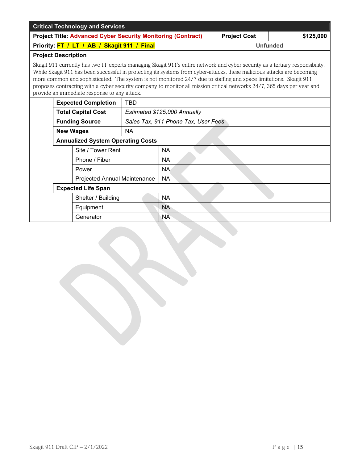| <b>Critical Technology and Services</b>                                                                                                                                                                                                                                                                                                                                                                                                                                                                                                                  |            |                                     |                     |           |  |  |
|----------------------------------------------------------------------------------------------------------------------------------------------------------------------------------------------------------------------------------------------------------------------------------------------------------------------------------------------------------------------------------------------------------------------------------------------------------------------------------------------------------------------------------------------------------|------------|-------------------------------------|---------------------|-----------|--|--|
| <b>Project Title: Advanced Cyber Security Monitoring (Contract)</b>                                                                                                                                                                                                                                                                                                                                                                                                                                                                                      |            |                                     | <b>Project Cost</b> | \$125,000 |  |  |
| Priority: FT / LT / AB / Skagit 911 / Final                                                                                                                                                                                                                                                                                                                                                                                                                                                                                                              |            | <b>Unfunded</b>                     |                     |           |  |  |
| <b>Project Description</b>                                                                                                                                                                                                                                                                                                                                                                                                                                                                                                                               |            |                                     |                     |           |  |  |
| Skagit 911 currently has two IT experts managing Skagit 911's entire network and cyber security as a tertiary responsibility.<br>While Skagit 911 has been successful in protecting its systems from cyber-attacks, these malicious attacks are becoming<br>more common and sophisticated. The system is not monitored 24/7 due to staffing and space limitations. Skagit 911<br>proposes contracting with a cyber security company to monitor all mission critical networks 24/7, 365 days per year and<br>provide an immediate response to any attack. |            |                                     |                     |           |  |  |
| <b>Expected Completion</b>                                                                                                                                                                                                                                                                                                                                                                                                                                                                                                                               | <b>TBD</b> |                                     |                     |           |  |  |
| <b>Total Capital Cost</b>                                                                                                                                                                                                                                                                                                                                                                                                                                                                                                                                |            | Estimated \$125,000 Annually        |                     |           |  |  |
| <b>Funding Source</b>                                                                                                                                                                                                                                                                                                                                                                                                                                                                                                                                    |            | Sales Tax, 911 Phone Tax, User Fees |                     |           |  |  |
| <b>New Wages</b><br><b>NA</b>                                                                                                                                                                                                                                                                                                                                                                                                                                                                                                                            |            |                                     |                     |           |  |  |
| <b>Annualized System Operating Costs</b>                                                                                                                                                                                                                                                                                                                                                                                                                                                                                                                 |            |                                     |                     |           |  |  |
| Site / Tower Rent                                                                                                                                                                                                                                                                                                                                                                                                                                                                                                                                        |            | <b>NA</b>                           |                     |           |  |  |
| Phone / Fiber                                                                                                                                                                                                                                                                                                                                                                                                                                                                                                                                            |            | <b>NA</b>                           |                     |           |  |  |
| Power                                                                                                                                                                                                                                                                                                                                                                                                                                                                                                                                                    |            | <b>NA</b>                           |                     |           |  |  |
| Projected Annual Maintenance                                                                                                                                                                                                                                                                                                                                                                                                                                                                                                                             |            | <b>NA</b>                           |                     |           |  |  |
| <b>Expected Life Span</b>                                                                                                                                                                                                                                                                                                                                                                                                                                                                                                                                |            |                                     |                     |           |  |  |
| Shelter / Building                                                                                                                                                                                                                                                                                                                                                                                                                                                                                                                                       |            | <b>NA</b>                           |                     |           |  |  |
| Equipment                                                                                                                                                                                                                                                                                                                                                                                                                                                                                                                                                |            | <b>NA</b>                           |                     |           |  |  |
| Generator                                                                                                                                                                                                                                                                                                                                                                                                                                                                                                                                                |            | NA.                                 |                     |           |  |  |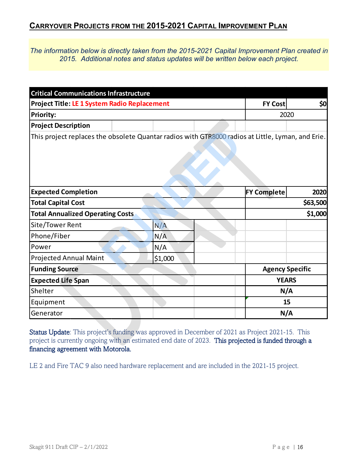# **CARRYOVER PROJECTS FROM THE 2015-2021 CAPITAL IMPROVEMENT PLAN**

*The information below is directly taken from the 2015-2021 Capital Improvement Plan created in 2015. Additional notes and status updates will be written below each project.*

| <b>Critical Communications Infrastructure</b>                                                     |         |  |                |                    |                        |
|---------------------------------------------------------------------------------------------------|---------|--|----------------|--------------------|------------------------|
| <b>Project Title: LE 1 System Radio Replacement</b>                                               |         |  | <b>FY Cost</b> | \$0                |                        |
| <b>Priority:</b>                                                                                  |         |  |                | 2020               |                        |
| <b>Project Description</b>                                                                        |         |  |                |                    |                        |
| This project replaces the obsolete Quantar radios with GTR8000 radios at Little, Lyman, and Erie. |         |  |                |                    |                        |
| <b>Expected Completion</b>                                                                        |         |  |                | <b>FY Complete</b> | 2020                   |
| <b>Total Capital Cost</b>                                                                         |         |  |                |                    | \$63,500               |
| <b>Total Annualized Operating Costs</b>                                                           |         |  |                |                    | \$1,000                |
| Site/Tower Rent                                                                                   | N/A     |  |                |                    |                        |
| Phone/Fiber                                                                                       | N/A     |  |                |                    |                        |
| Power                                                                                             | N/A     |  |                |                    |                        |
| <b>Projected Annual Maint</b>                                                                     | \$1,000 |  |                |                    |                        |
| <b>Funding Source</b>                                                                             |         |  |                |                    | <b>Agency Specific</b> |
| <b>Expected Life Span</b>                                                                         |         |  |                |                    | <b>YEARS</b>           |
| Shelter                                                                                           |         |  | N/A            |                    |                        |
| Equipment                                                                                         |         |  |                | 15                 |                        |
| Generator                                                                                         |         |  | N/A            |                    |                        |

Status Update: This project's funding was approved in December of 2021 as Project 2021-15. This project is currently ongoing with an estimated end date of 2023. This projected is funded through a financing agreement with Motorola.

LE 2 and Fire TAC 9 also need hardware replacement and are included in the 2021-15 project.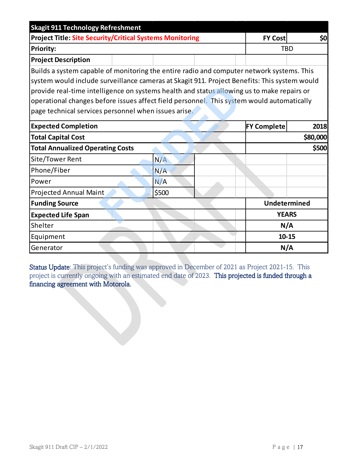| <b>Skagit 911 Technology Refreshment</b>                                                     |                                                                                           |       |                |                    |                     |  |  |
|----------------------------------------------------------------------------------------------|-------------------------------------------------------------------------------------------|-------|----------------|--------------------|---------------------|--|--|
| <b>Project Title: Site Security/Critical Systems Monitoring</b>                              |                                                                                           |       | <b>FY Cost</b> | \$0                |                     |  |  |
| <b>Priority:</b>                                                                             |                                                                                           |       |                | <b>TBD</b>         |                     |  |  |
| <b>Project Description</b>                                                                   |                                                                                           |       |                |                    |                     |  |  |
| Builds a system capable of monitoring the entire radio and computer network systems. This    |                                                                                           |       |                |                    |                     |  |  |
| system would include surveillance cameras at Skagit 911. Project Benefits: This system would |                                                                                           |       |                |                    |                     |  |  |
| provide real-time intelligence on systems health and status allowing us to make repairs or   |                                                                                           |       |                |                    |                     |  |  |
|                                                                                              | operational changes before issues affect field personnel. This system would automatically |       |                |                    |                     |  |  |
| page technical services personnel when issues arise.                                         |                                                                                           |       |                |                    |                     |  |  |
| <b>Expected Completion</b>                                                                   |                                                                                           |       |                | <b>FY Complete</b> | 2018                |  |  |
| <b>Total Capital Cost</b>                                                                    |                                                                                           |       |                |                    | \$80,000            |  |  |
| <b>Total Annualized Operating Costs</b>                                                      |                                                                                           |       |                |                    | \$500               |  |  |
| Site/Tower Rent                                                                              |                                                                                           | N/A   |                |                    |                     |  |  |
| Phone/Fiber                                                                                  |                                                                                           | N/A   |                |                    |                     |  |  |
| Power                                                                                        |                                                                                           | N/A   |                |                    |                     |  |  |
| <b>Projected Annual Maint</b>                                                                |                                                                                           | \$500 |                |                    |                     |  |  |
| <b>Funding Source</b>                                                                        |                                                                                           |       |                |                    | <b>Undetermined</b> |  |  |
| <b>Expected Life Span</b>                                                                    |                                                                                           |       | <b>YEARS</b>   |                    |                     |  |  |
| Shelter                                                                                      |                                                                                           |       |                | N/A                |                     |  |  |
| Equipment                                                                                    |                                                                                           |       |                | $10 - 15$          |                     |  |  |
| Generator                                                                                    |                                                                                           |       |                | N/A                |                     |  |  |

Status Update: This project's funding was approved in December of 2021 as Project 2021-15. This project is currently ongoing with an estimated end date of 2023. This projected is funded through a financing agreement with Motorola.